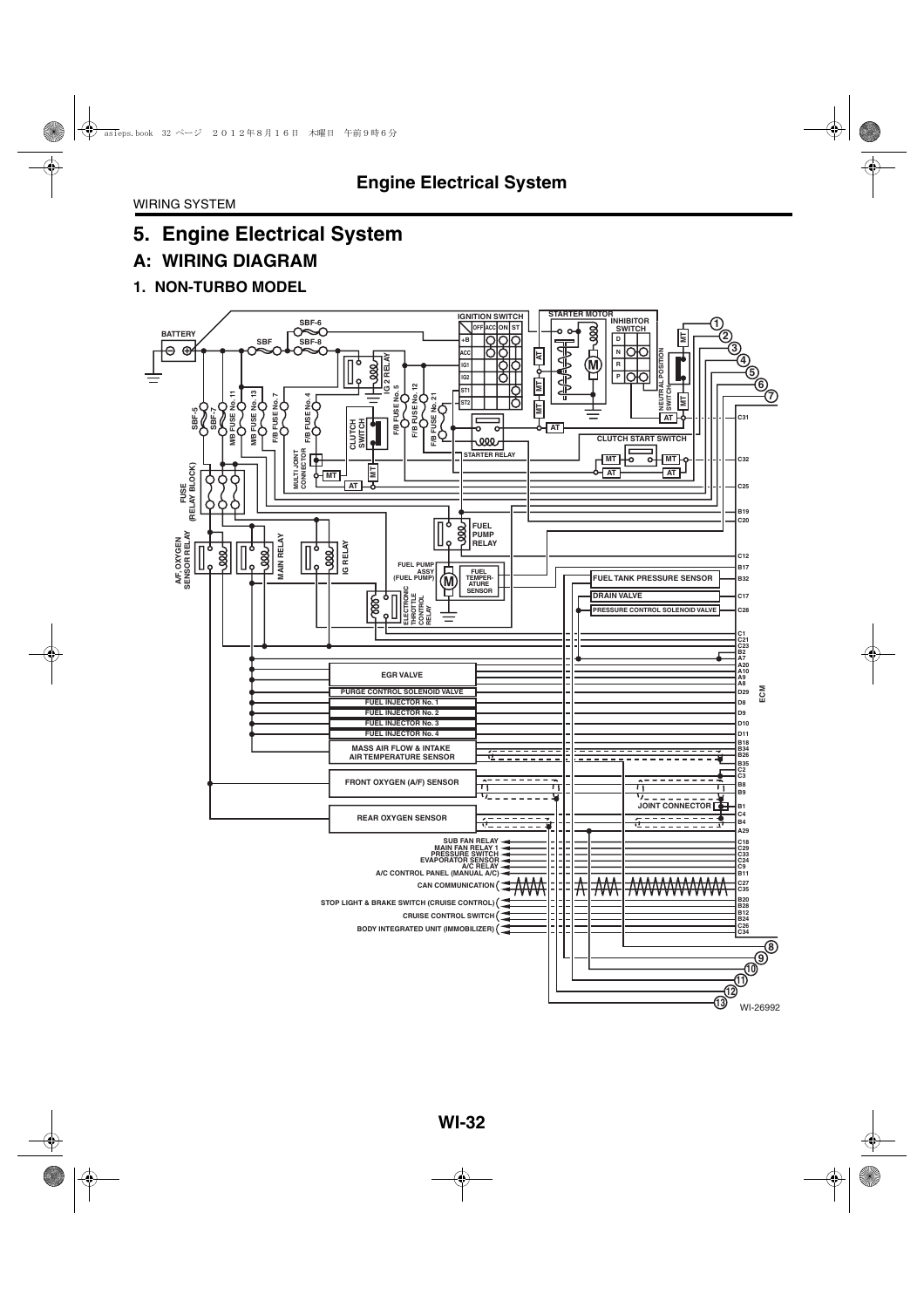# **A: WIRING DIAGRAM**

#### **1. NON-TURBO MODEL**

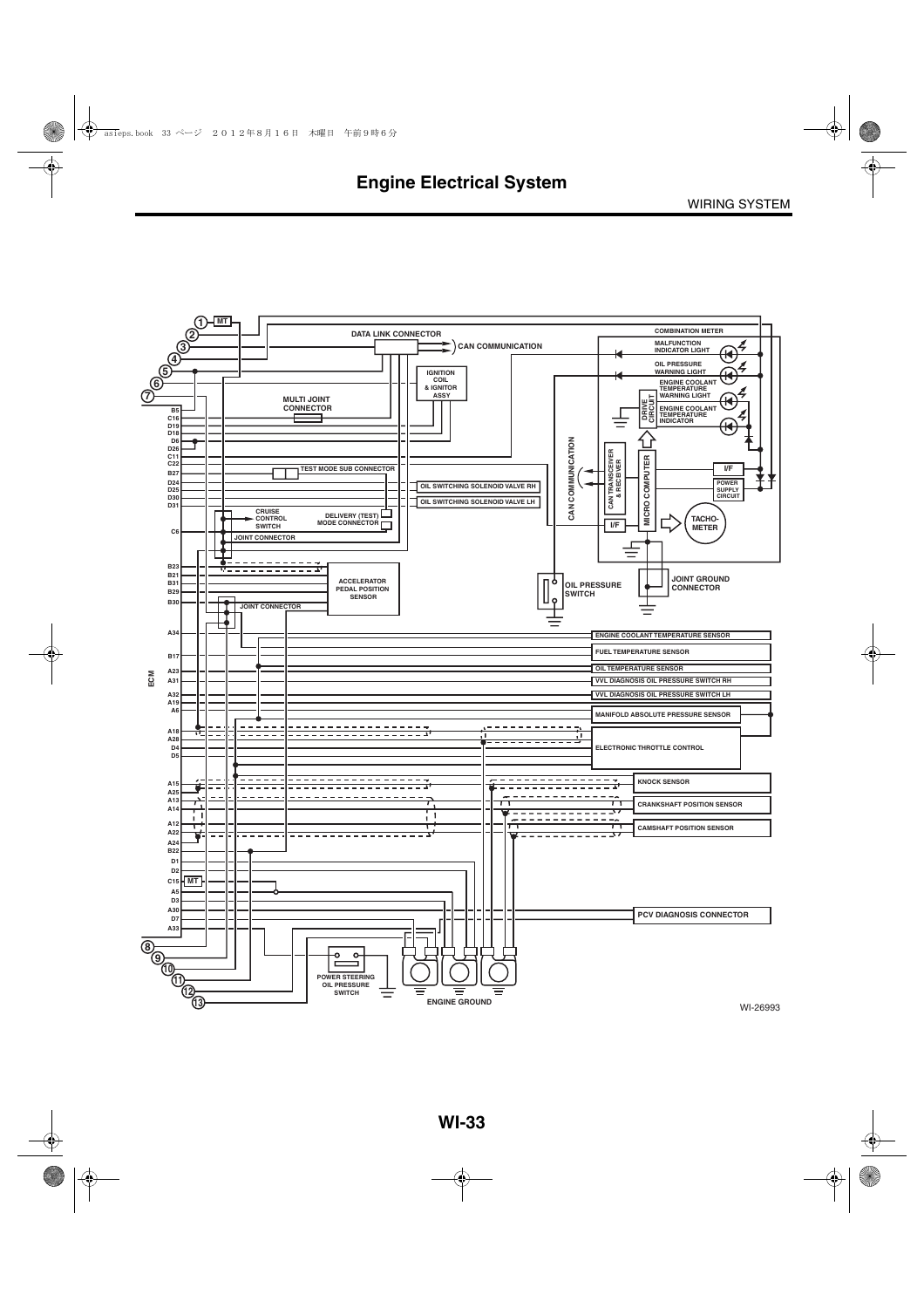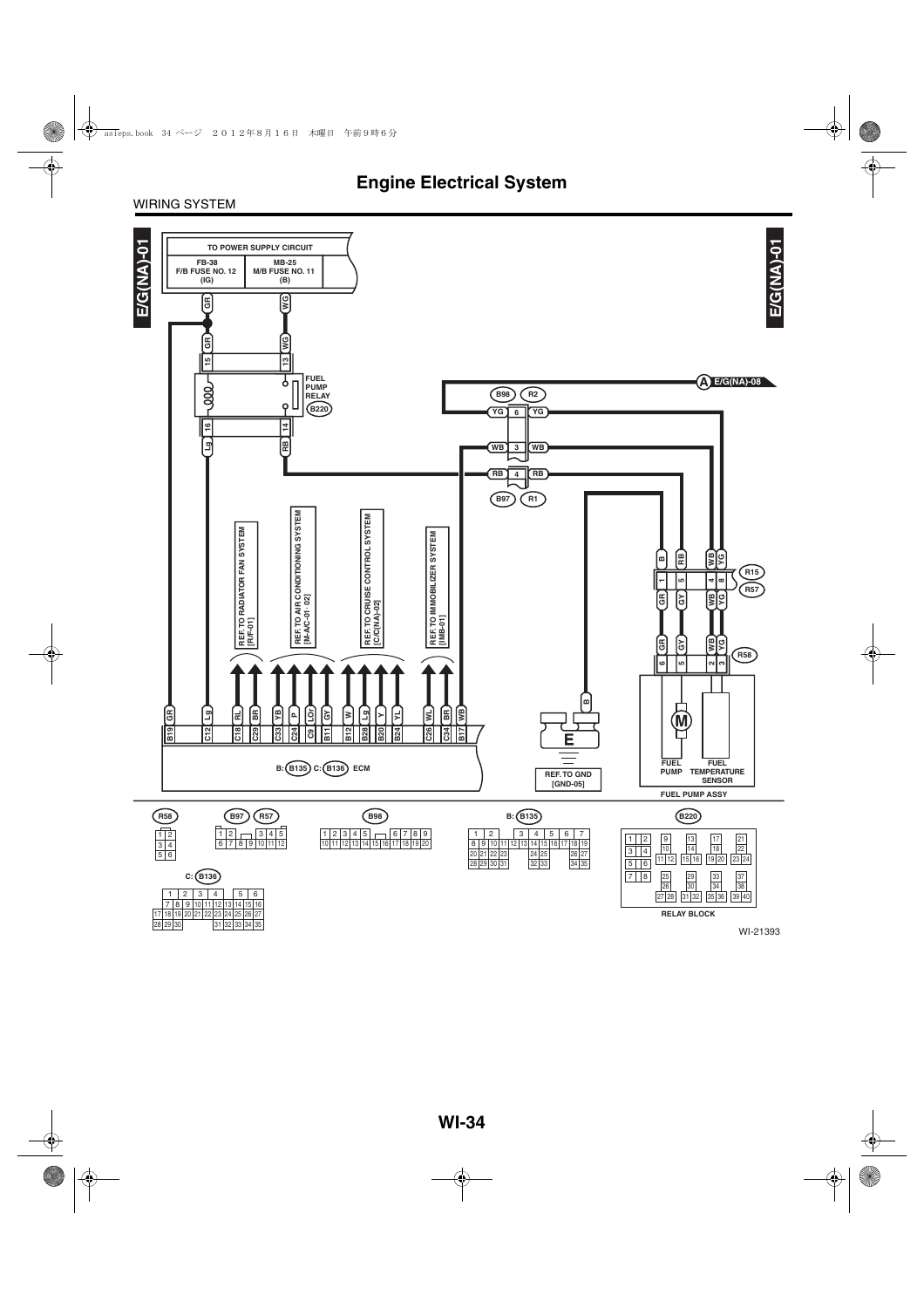#### WIRING SYSTEM

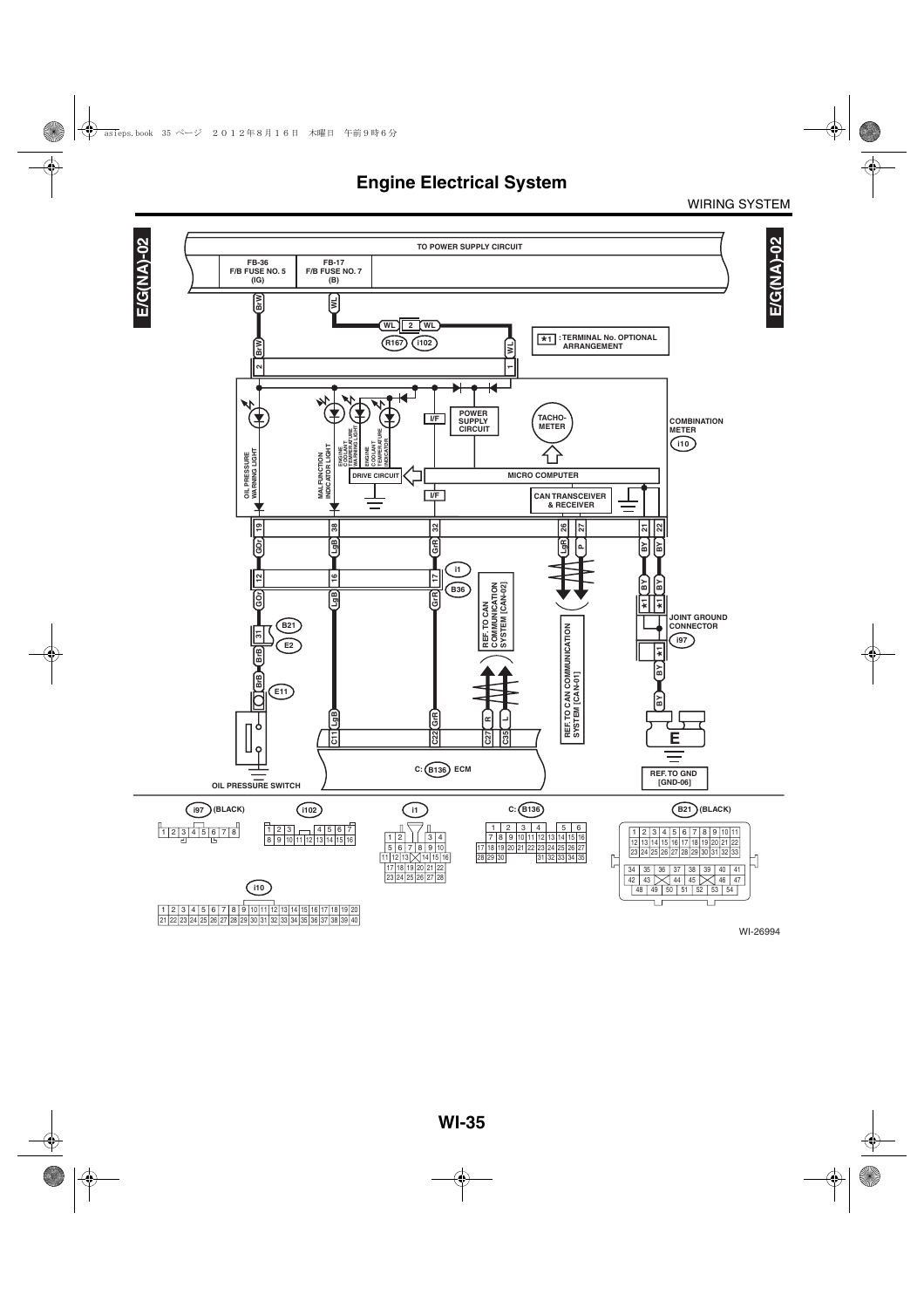WIRING SYSTEM

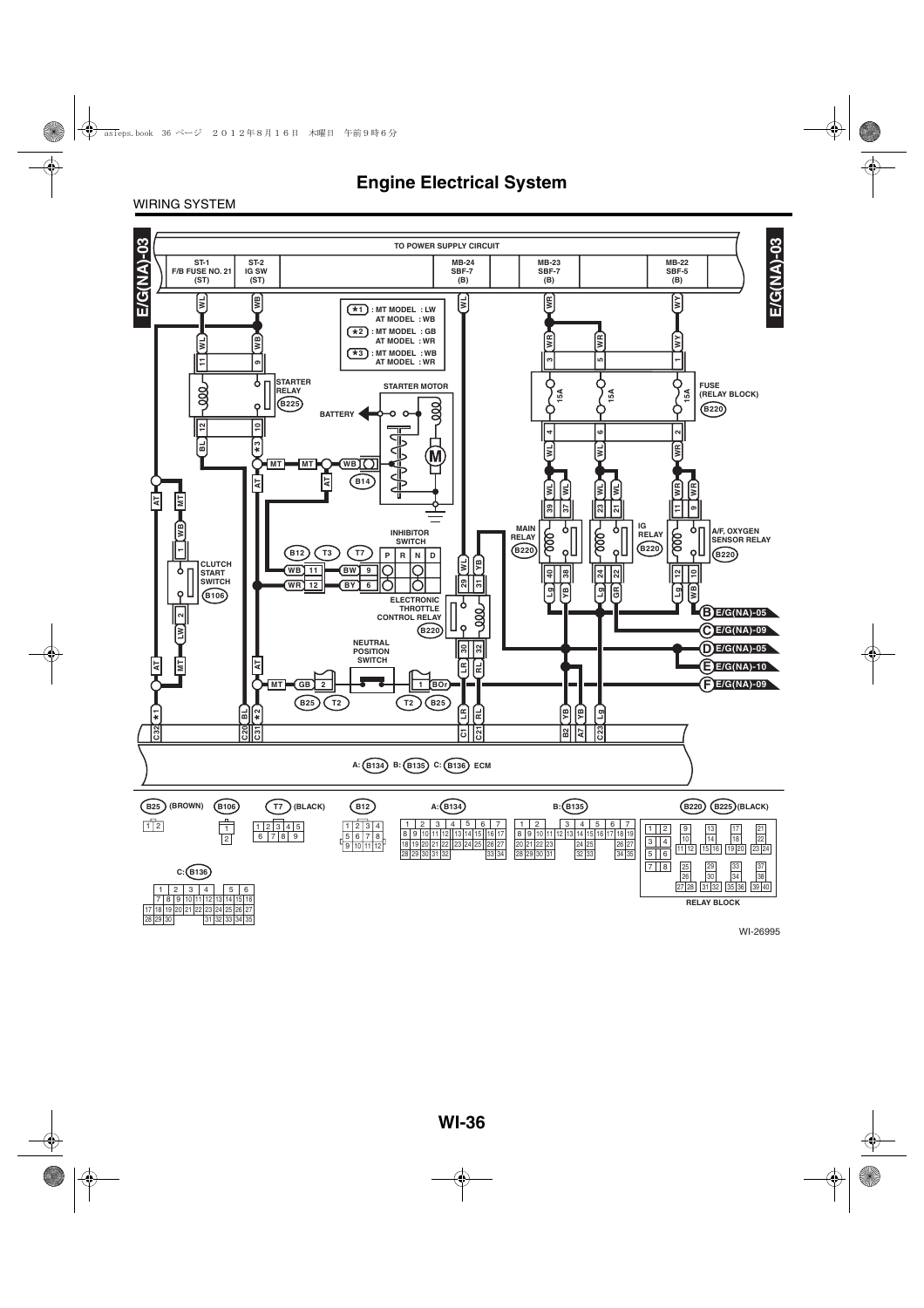WIRING SYSTEM



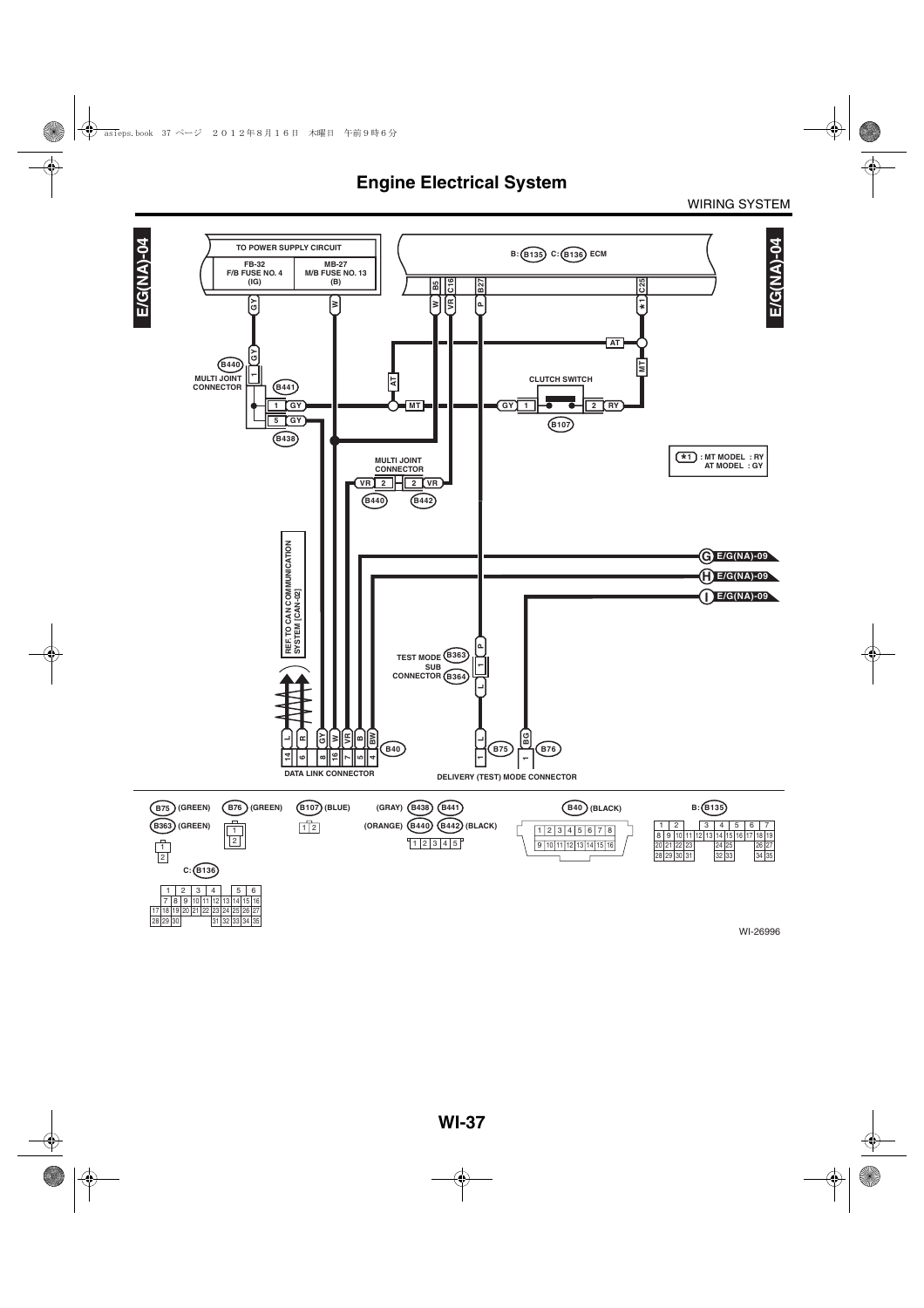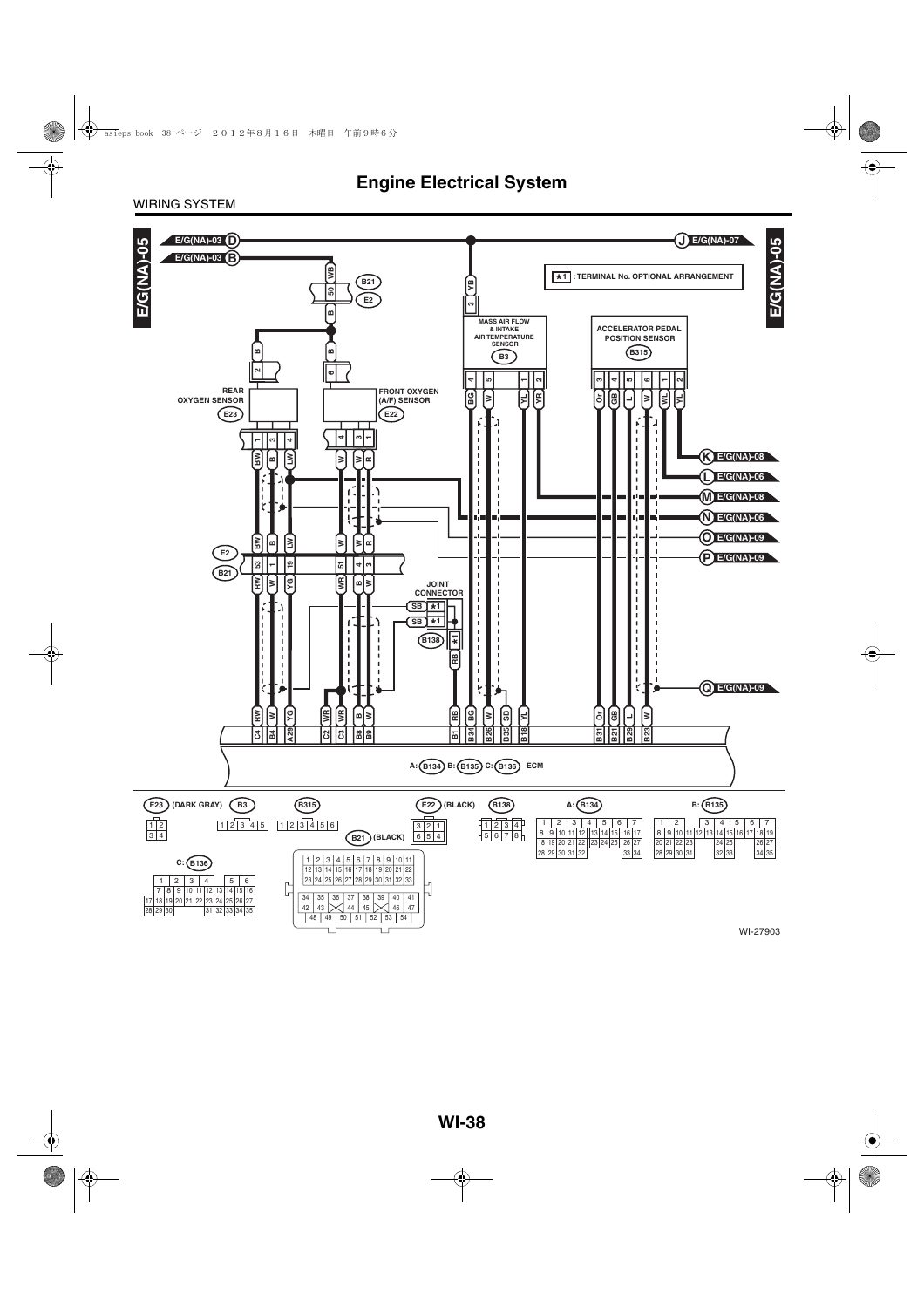#### WIRING SYSTEM

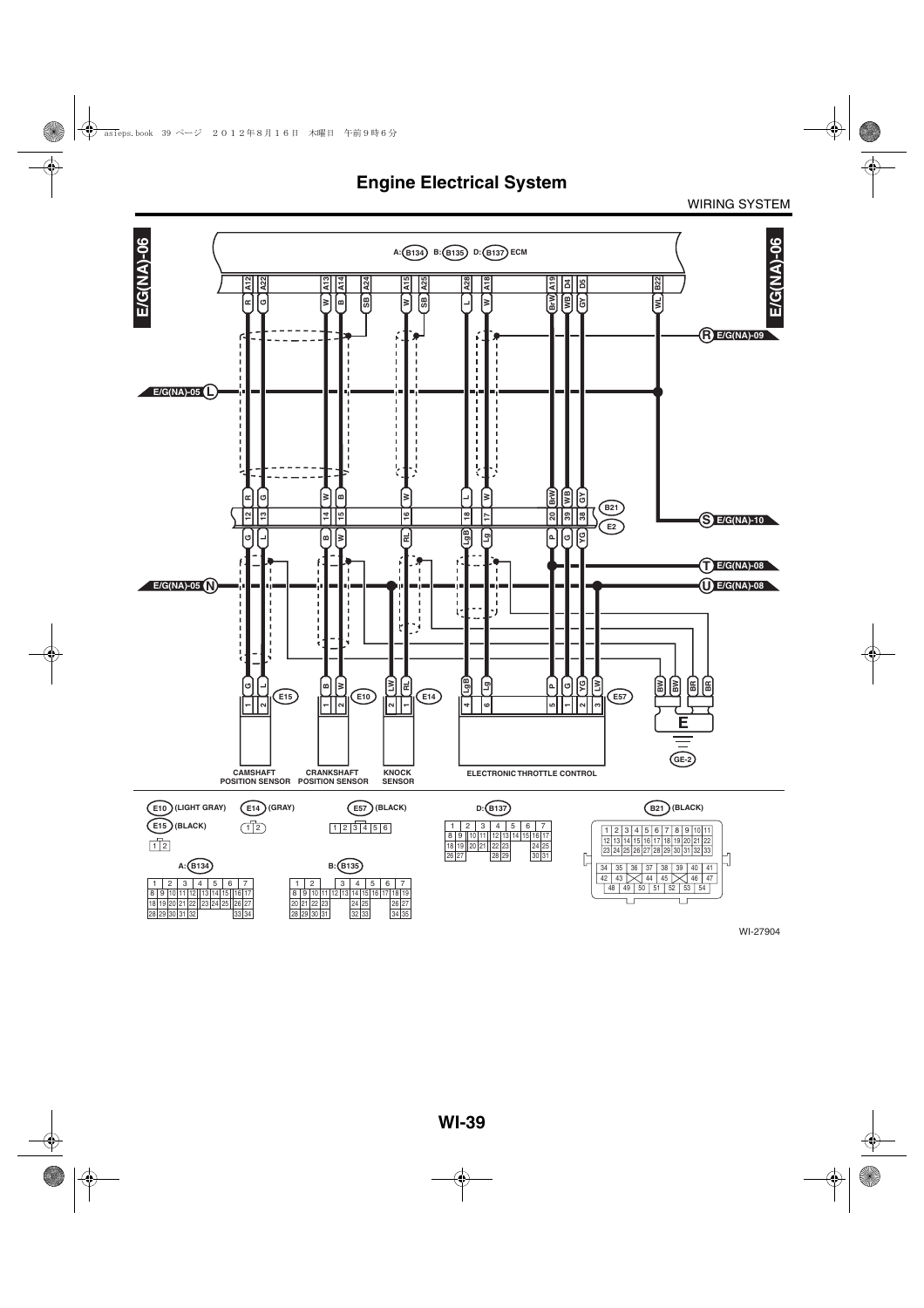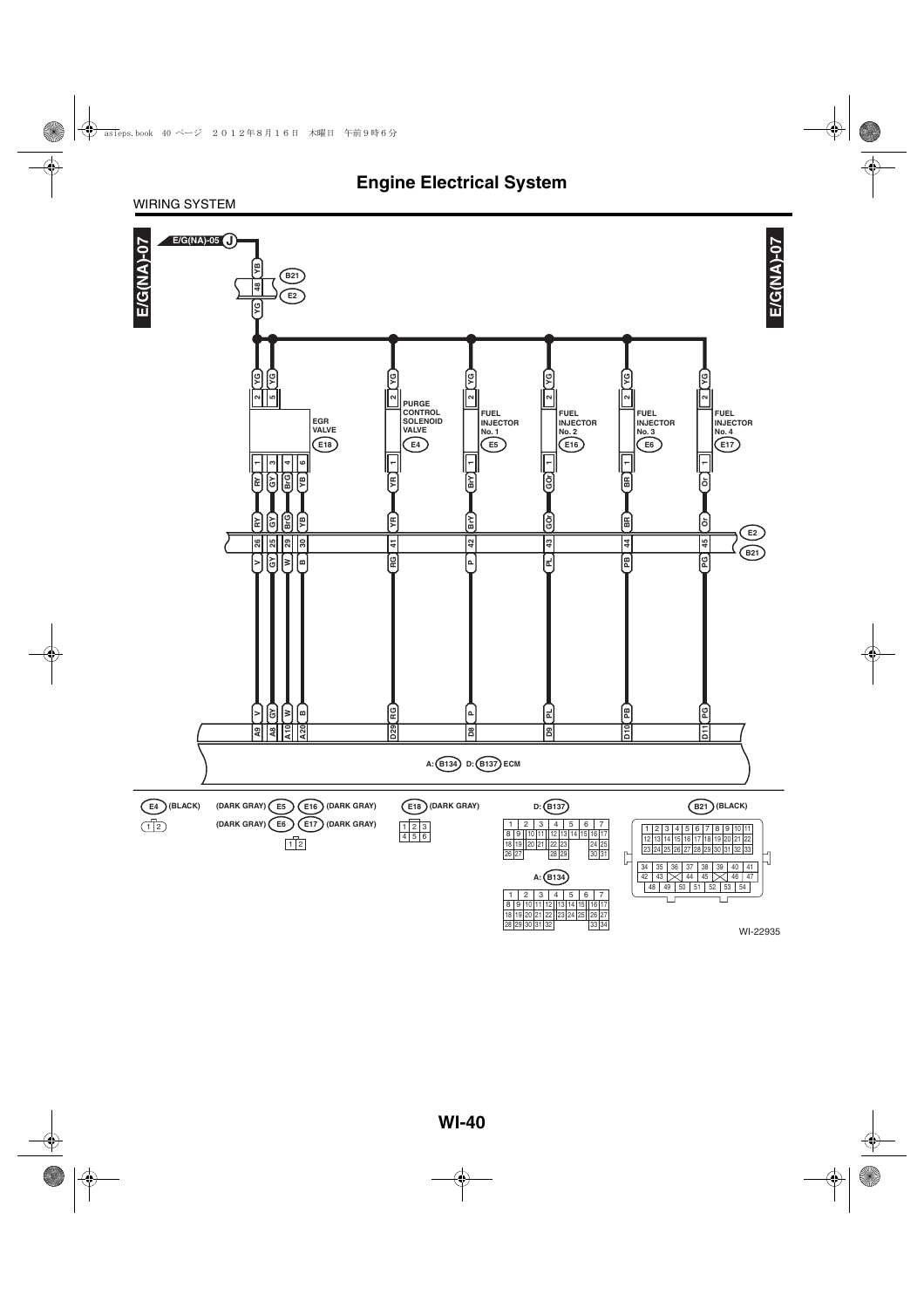#### WIRING SYSTEM

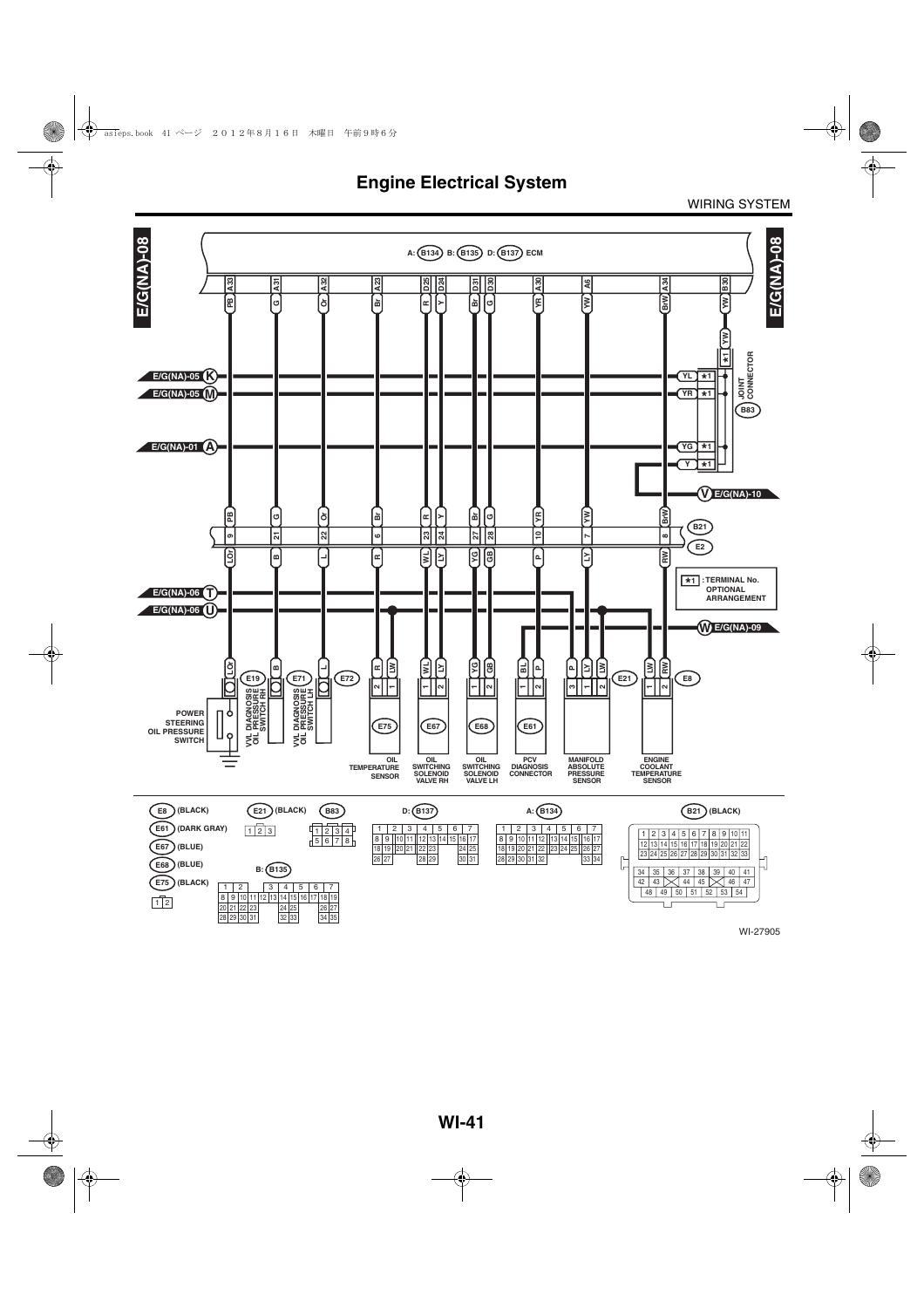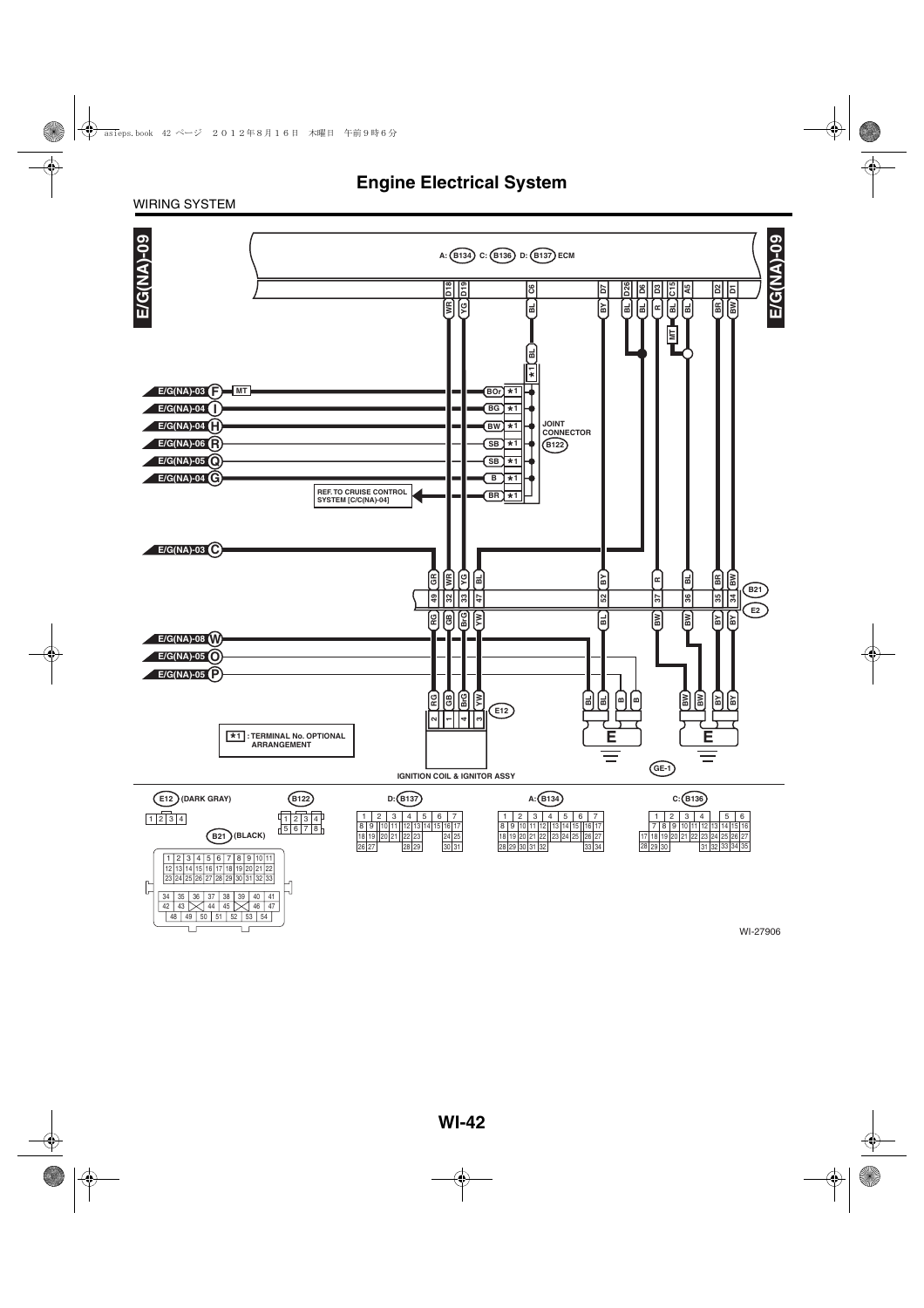#### WIRING SYSTEM

Ţ

 $\Box$ 

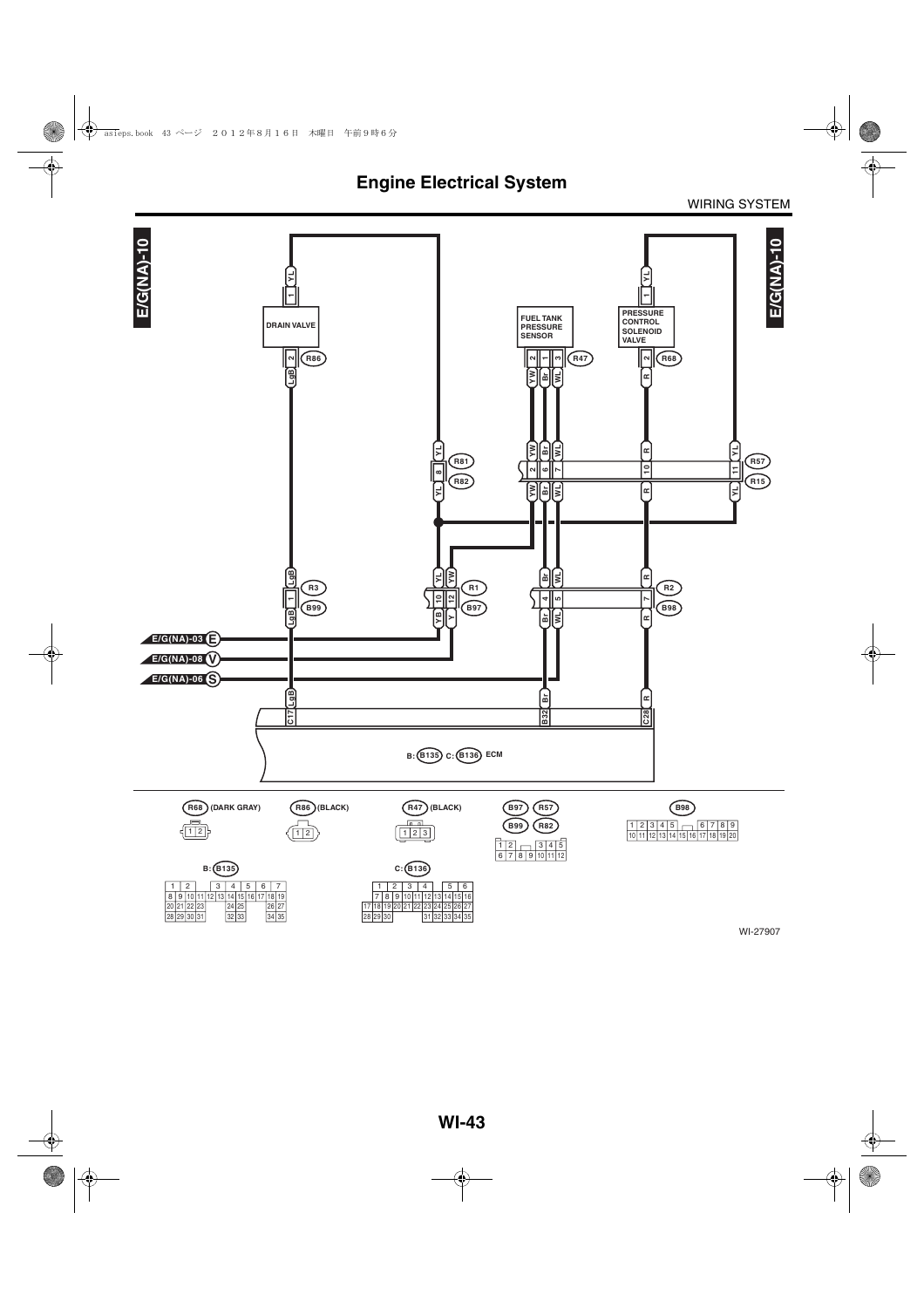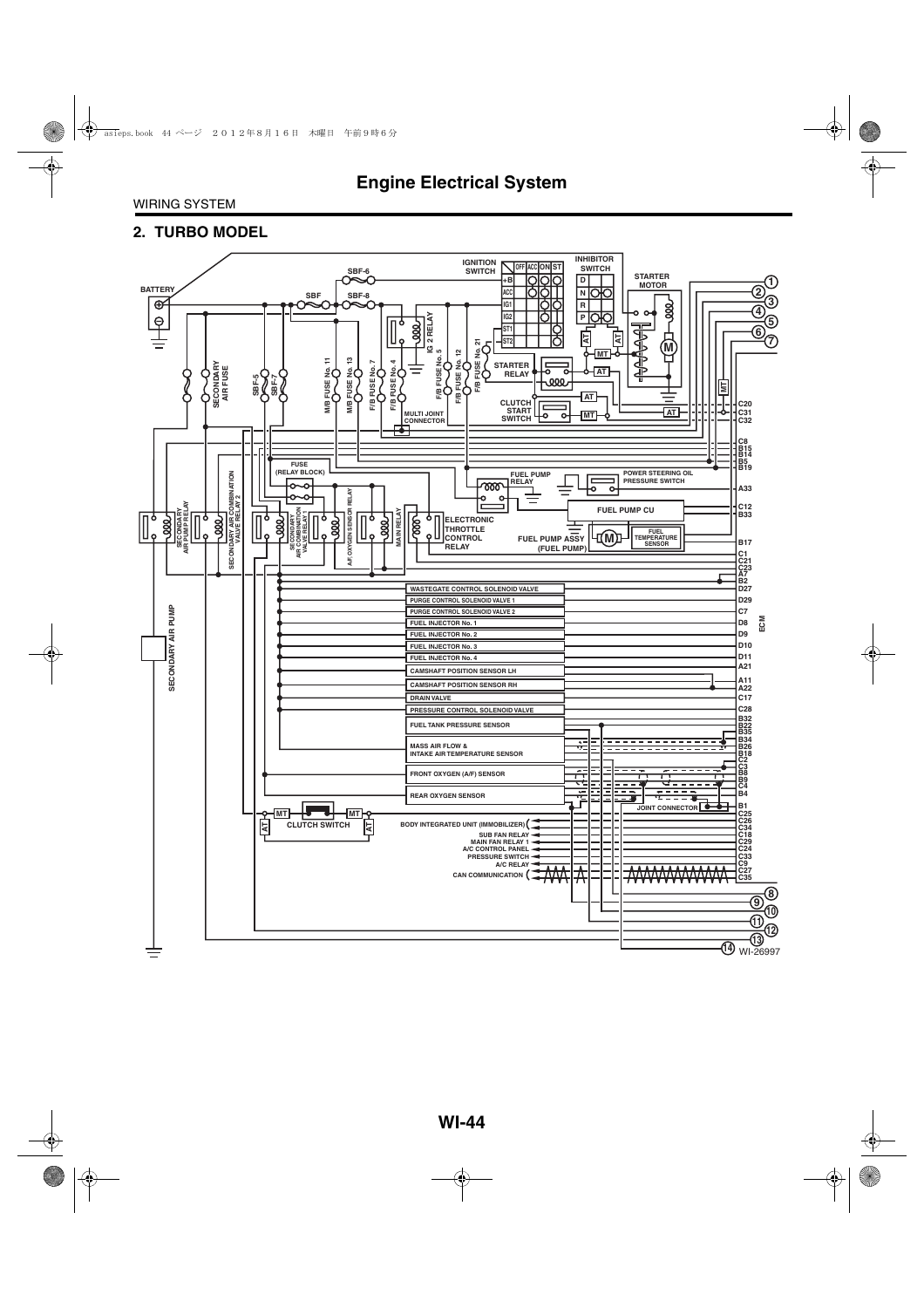#### **2. TURBO MODEL**

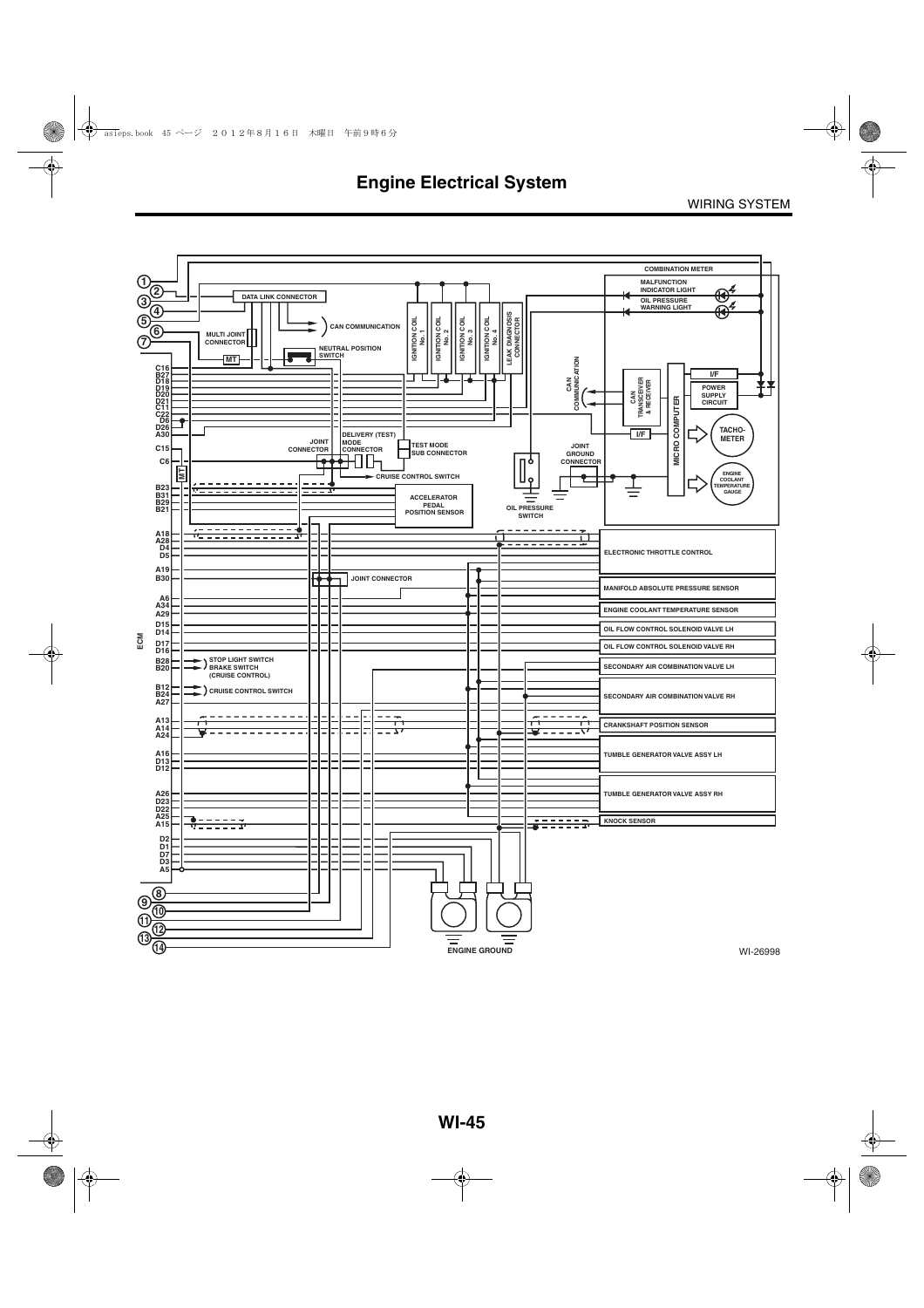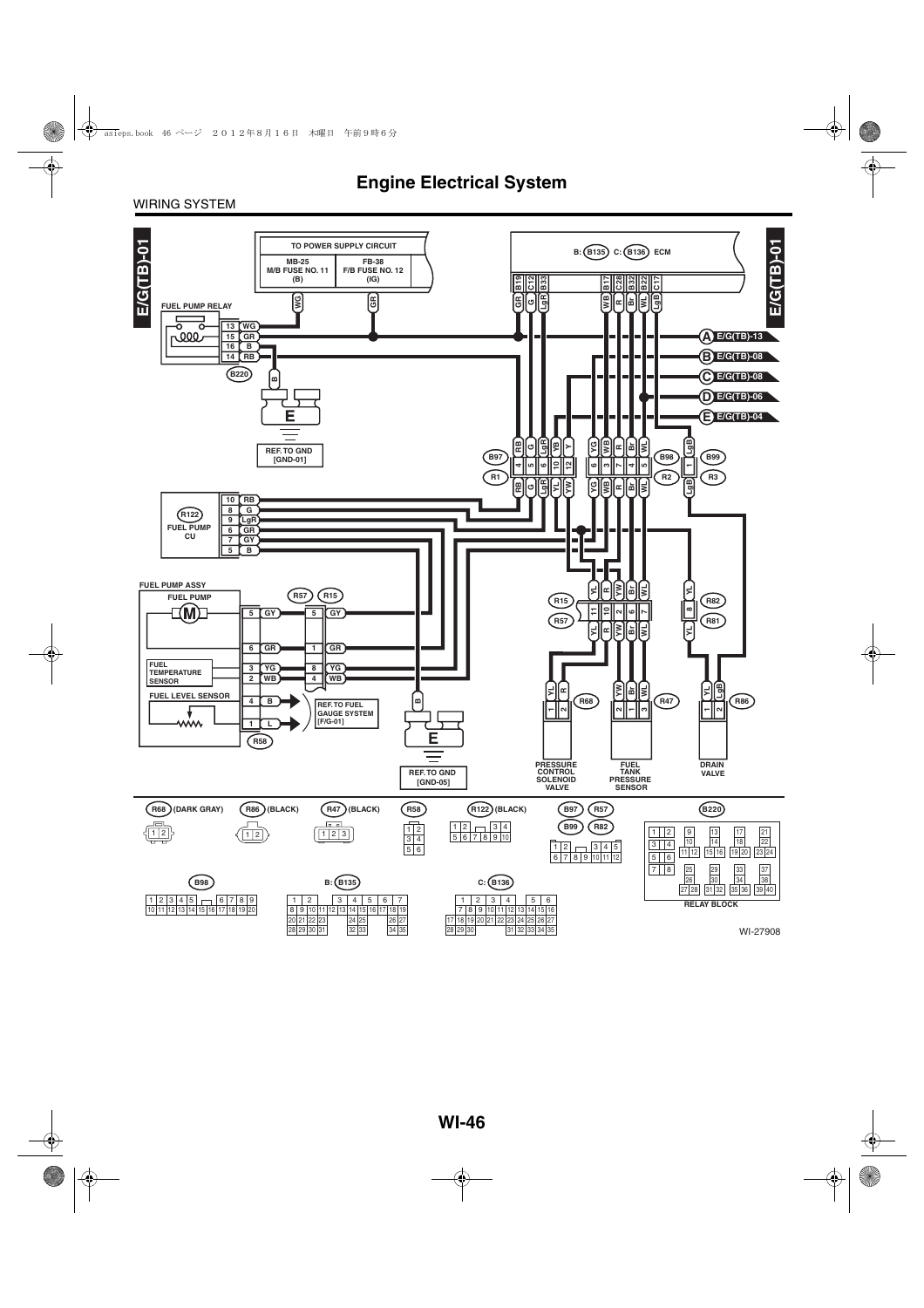#### WIRING SYSTEM

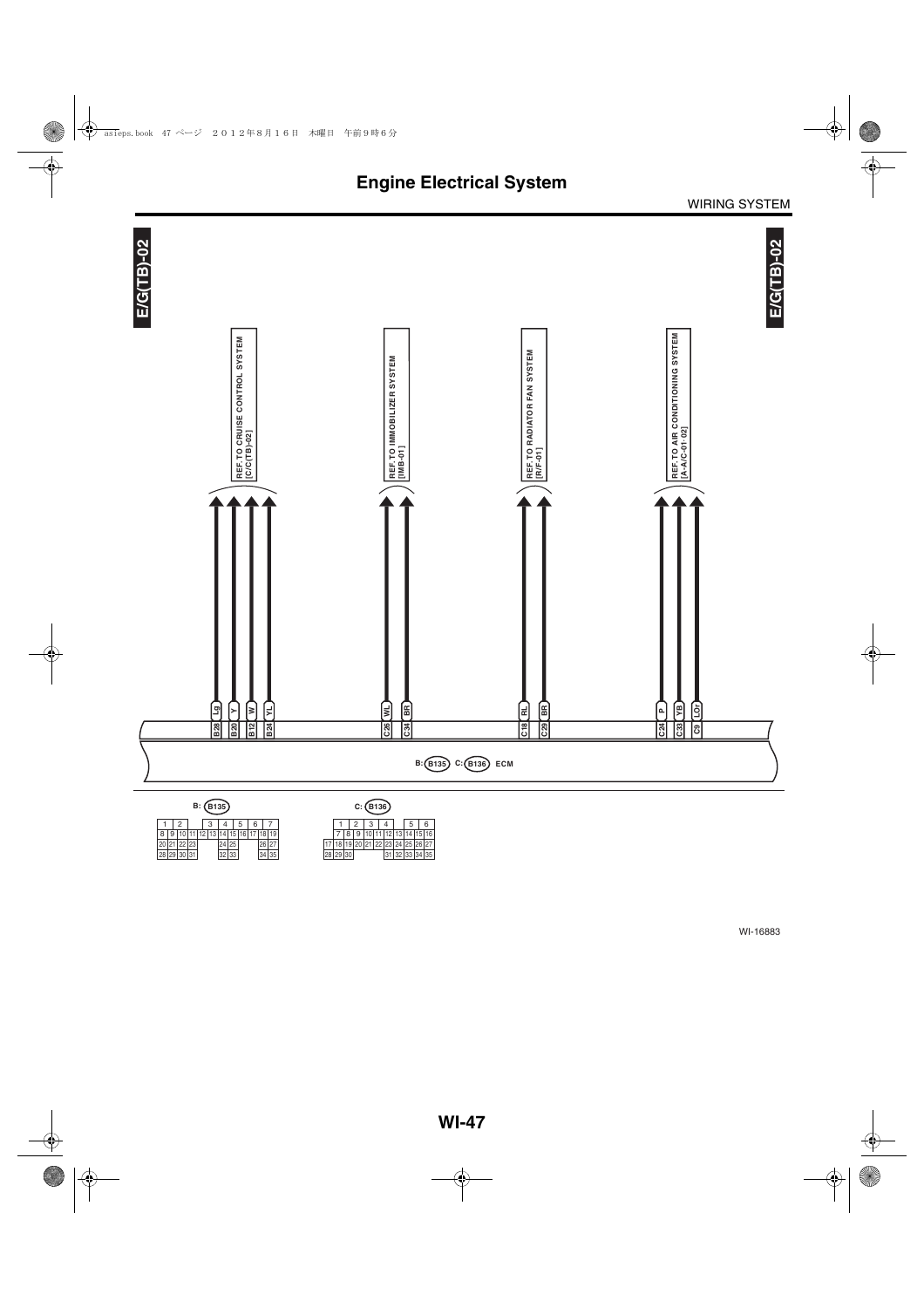

 $1 \mid 2 \mid 3 \mid 4 \mid 5 \mid 6 \mid 7$ 29 10 11 12 13 14 15 24 25 16 30  $\begin{array}{|c|c|c|c|c|c|}\n \hline\n 8 & 9 & 10 & 11 & 12 & 13 & 14 & 15 & 16 & 17 & 18 & 19 \\
\hline\n 20 & 21 & 22 & 23 & 24 & 25 & 26 & 27 \\
\hline\n 28 & 29 & 30 & 31 & 32 & 33 & 34 & 35\n \end{array}$ 

7 | 8 | 9 | 10 | 11 | 12 | 13 | 14 | 15 | 16<br>18 | 19 | 20 | 21 | 22 | 23 | 24 | 25 | 26 | 27 30 17 18 19 20 28 29 31 32  $1 \mid 2 \mid 3 \mid 4 \mid 5 \mid 6$ 26 27 31 32 33 34 35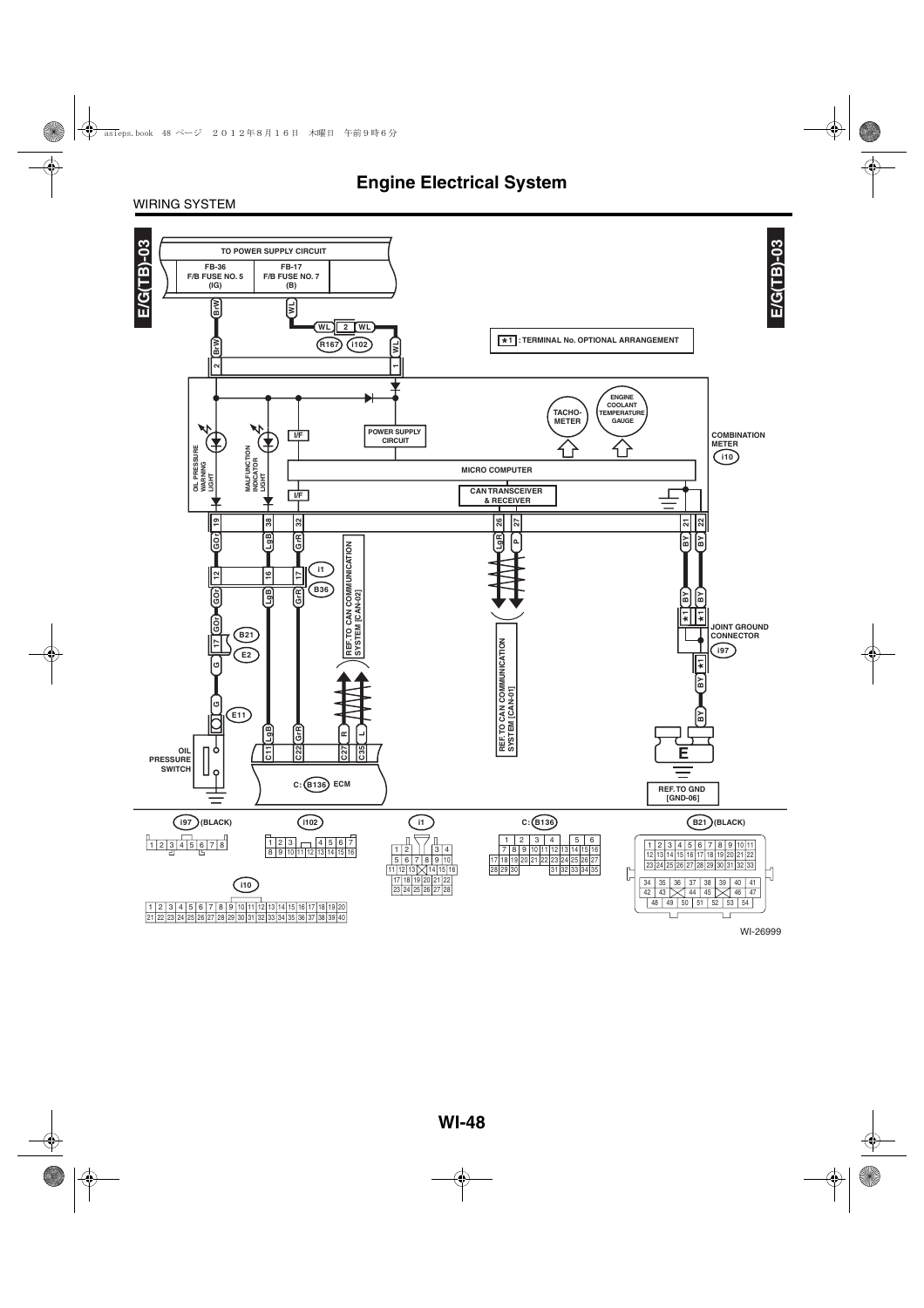#### WIRING SYSTEM

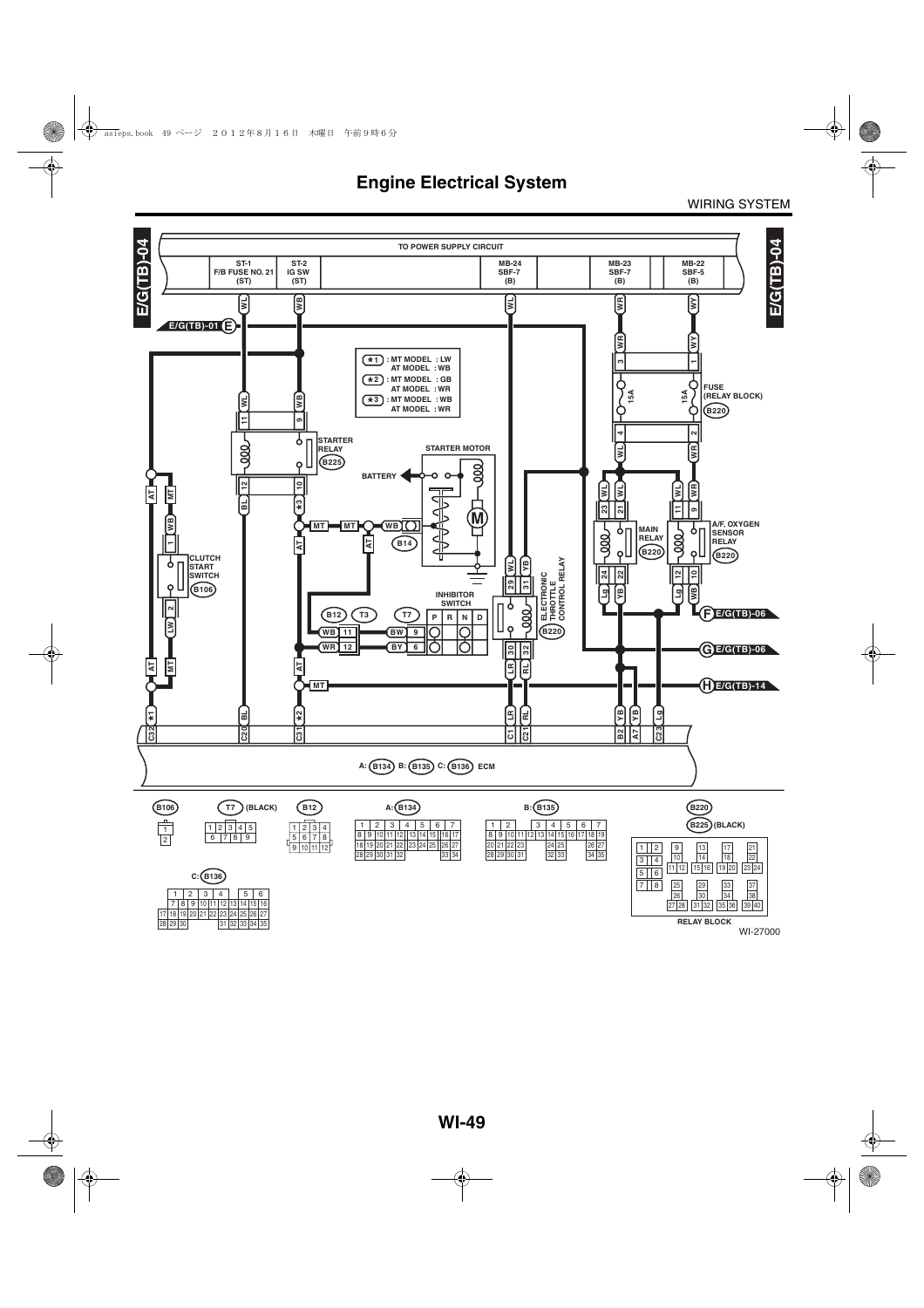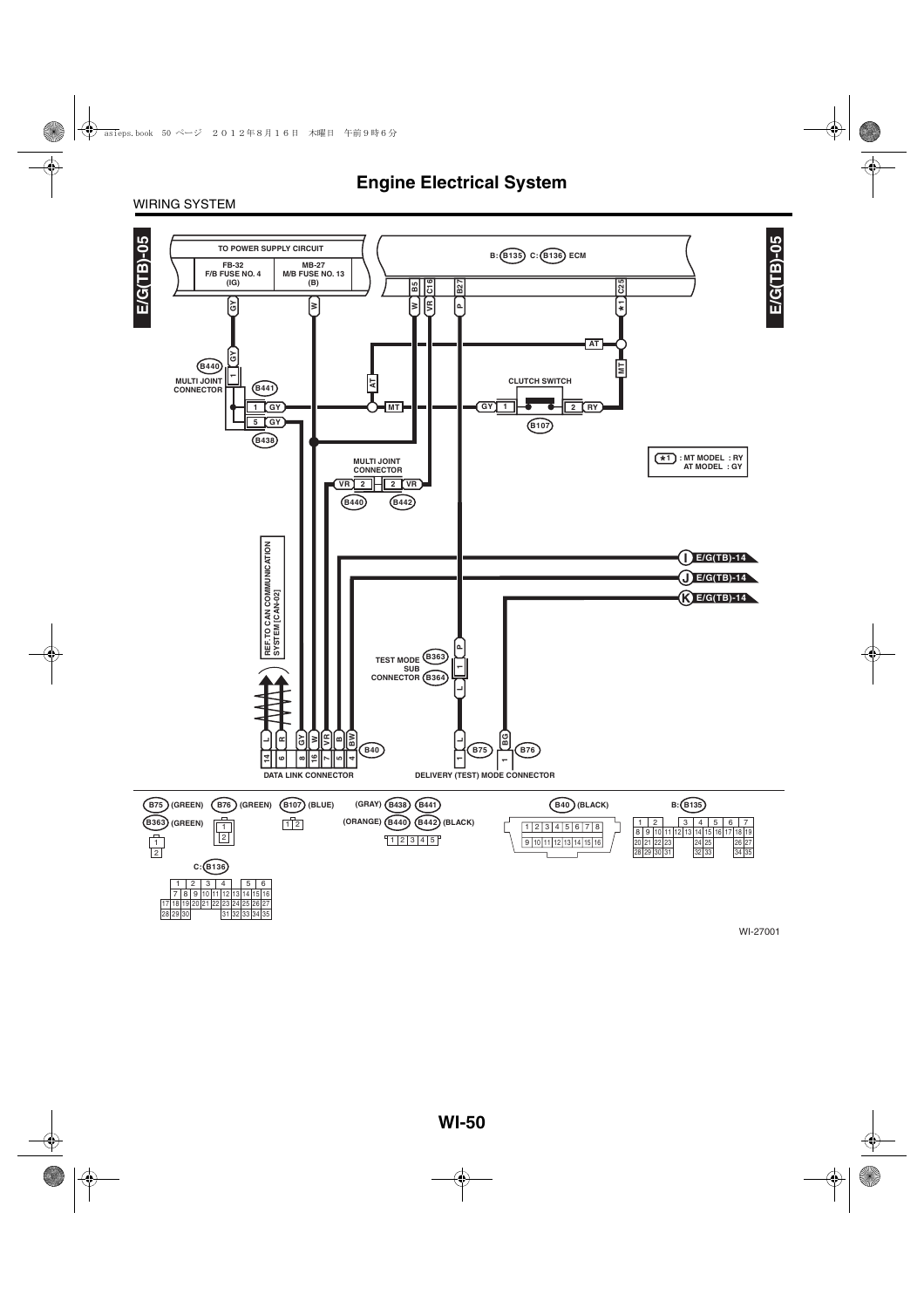#### WIRING SYSTEM

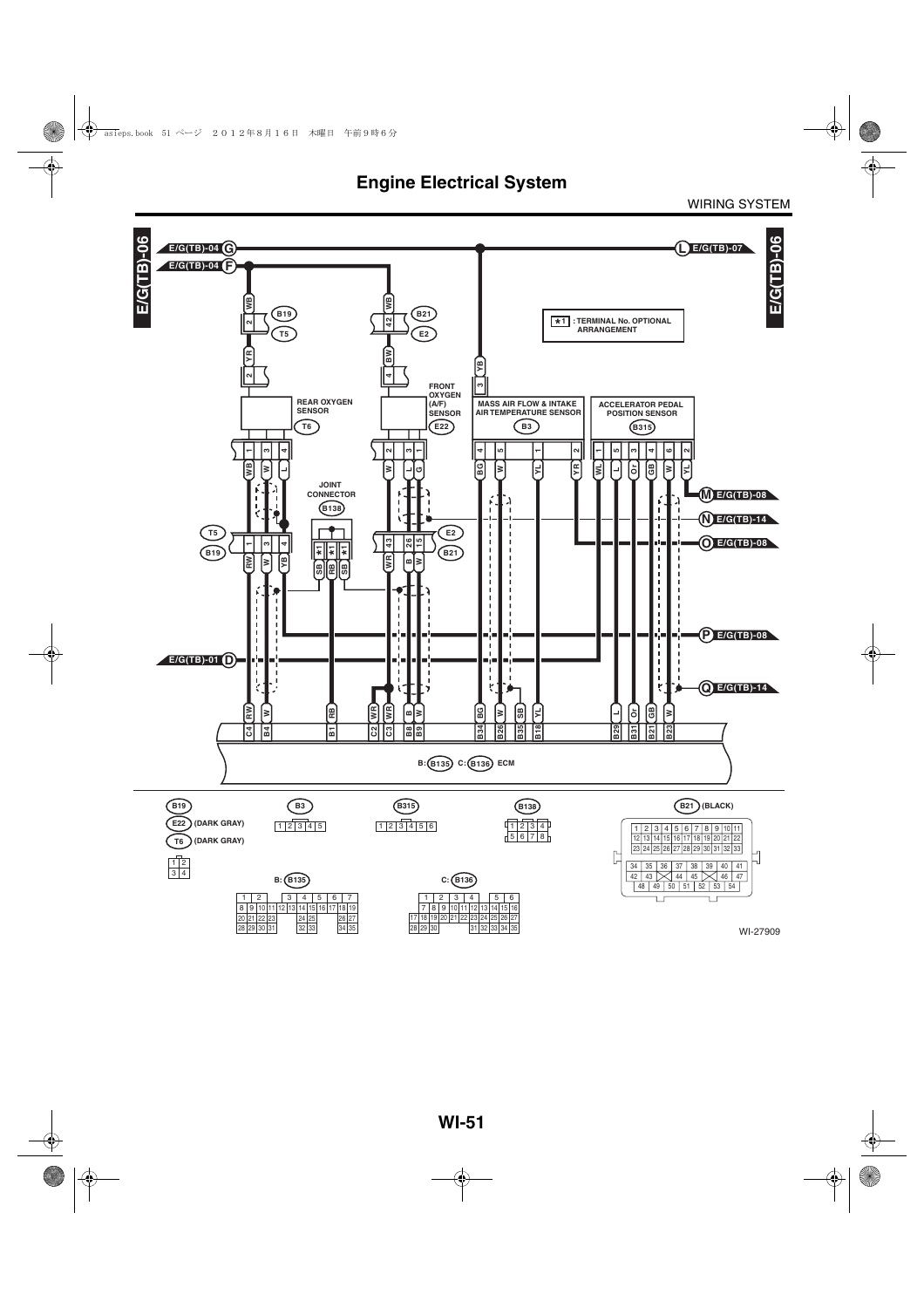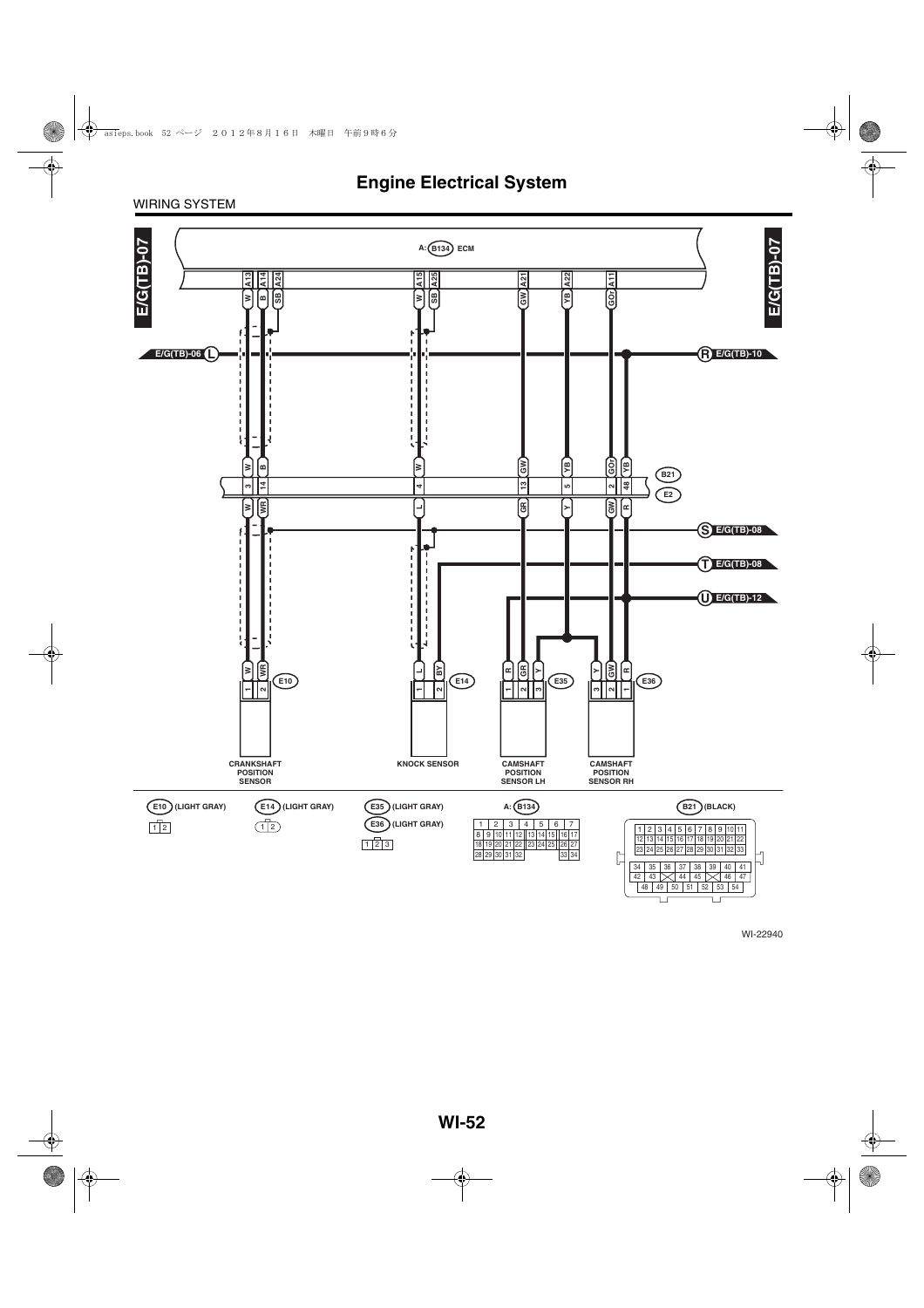#### WIRING SYSTEM

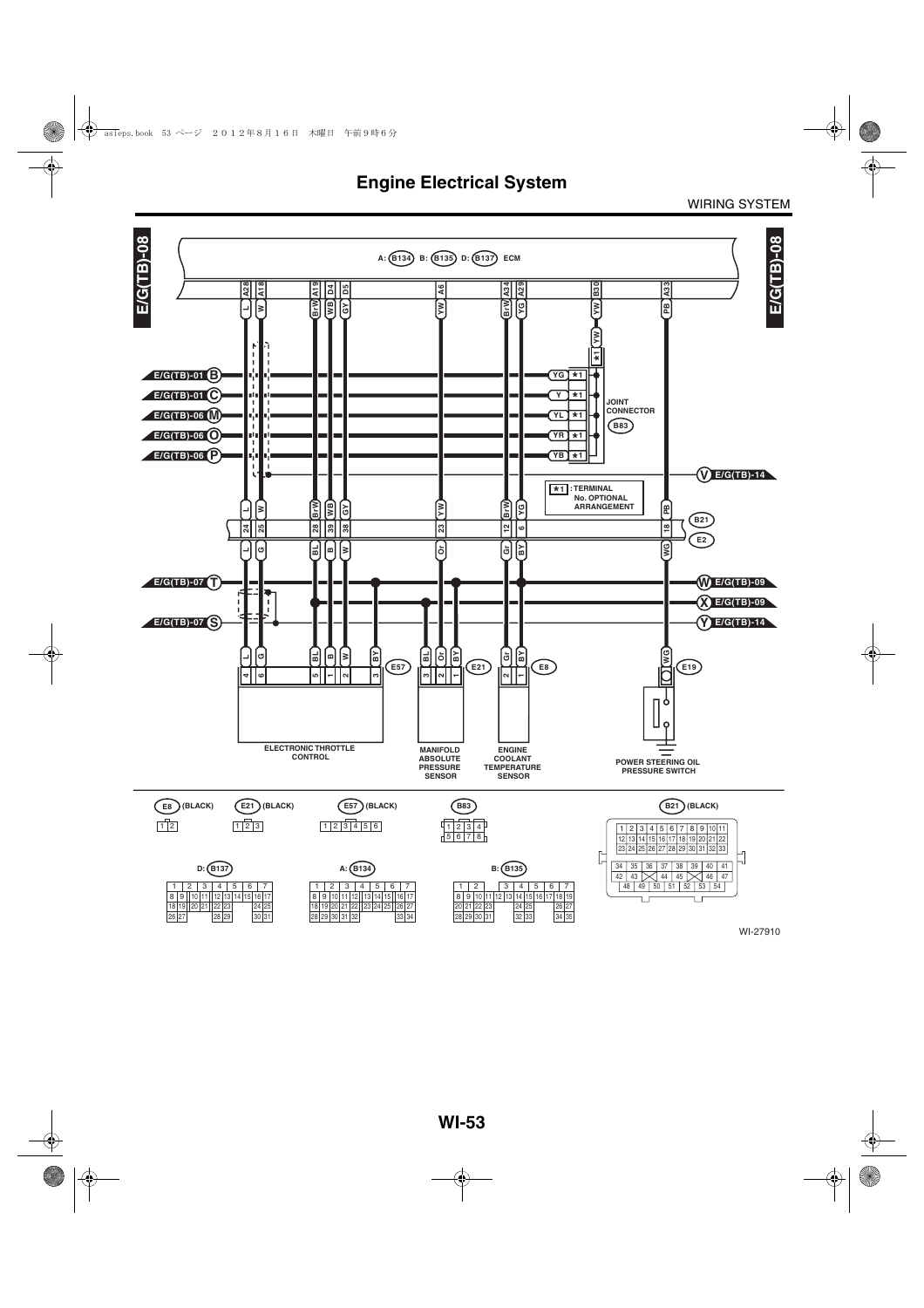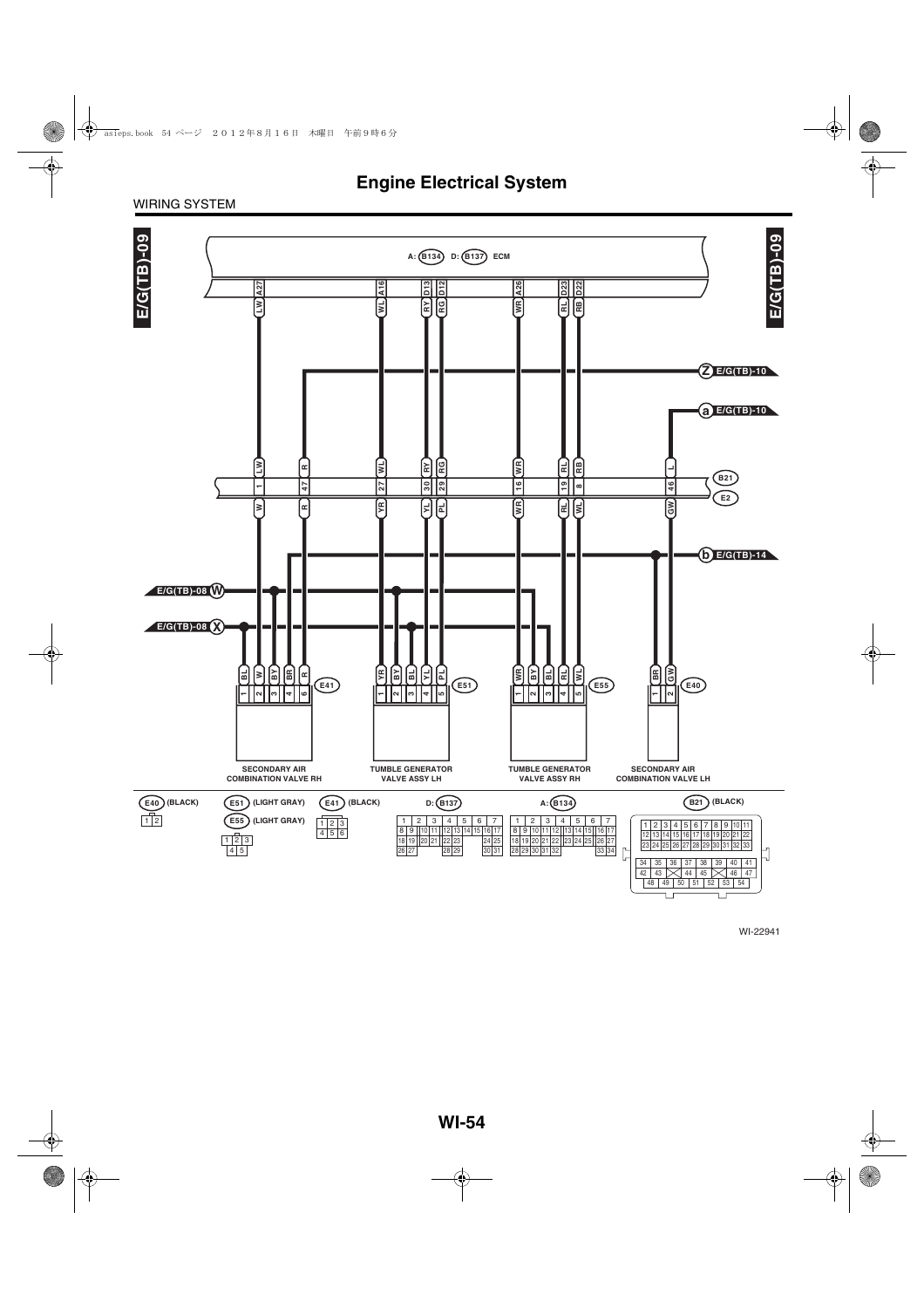#### WIRING SYSTEM

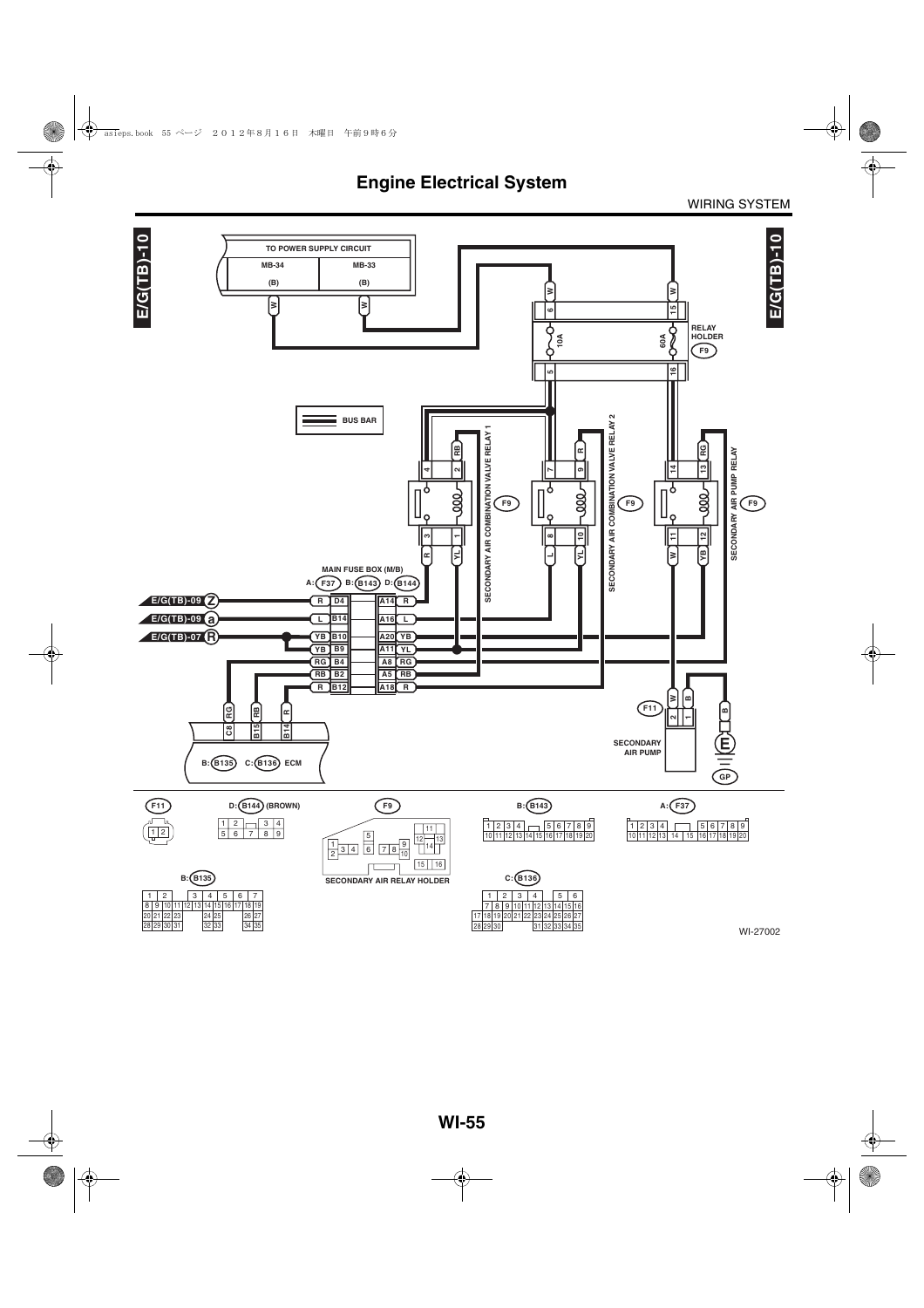

WI-27002

30 29

33 34 35

28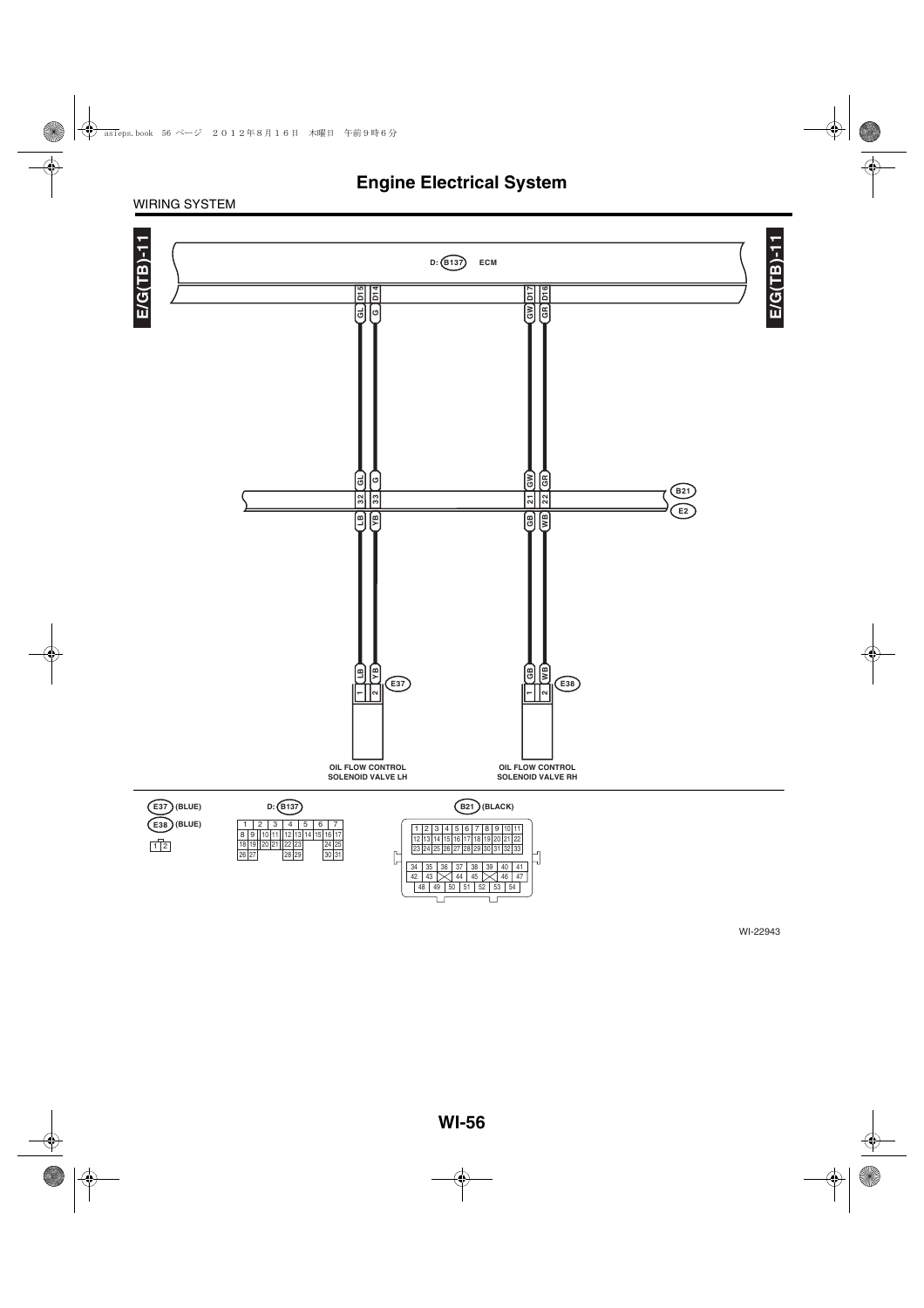#### WIRING SYSTEM

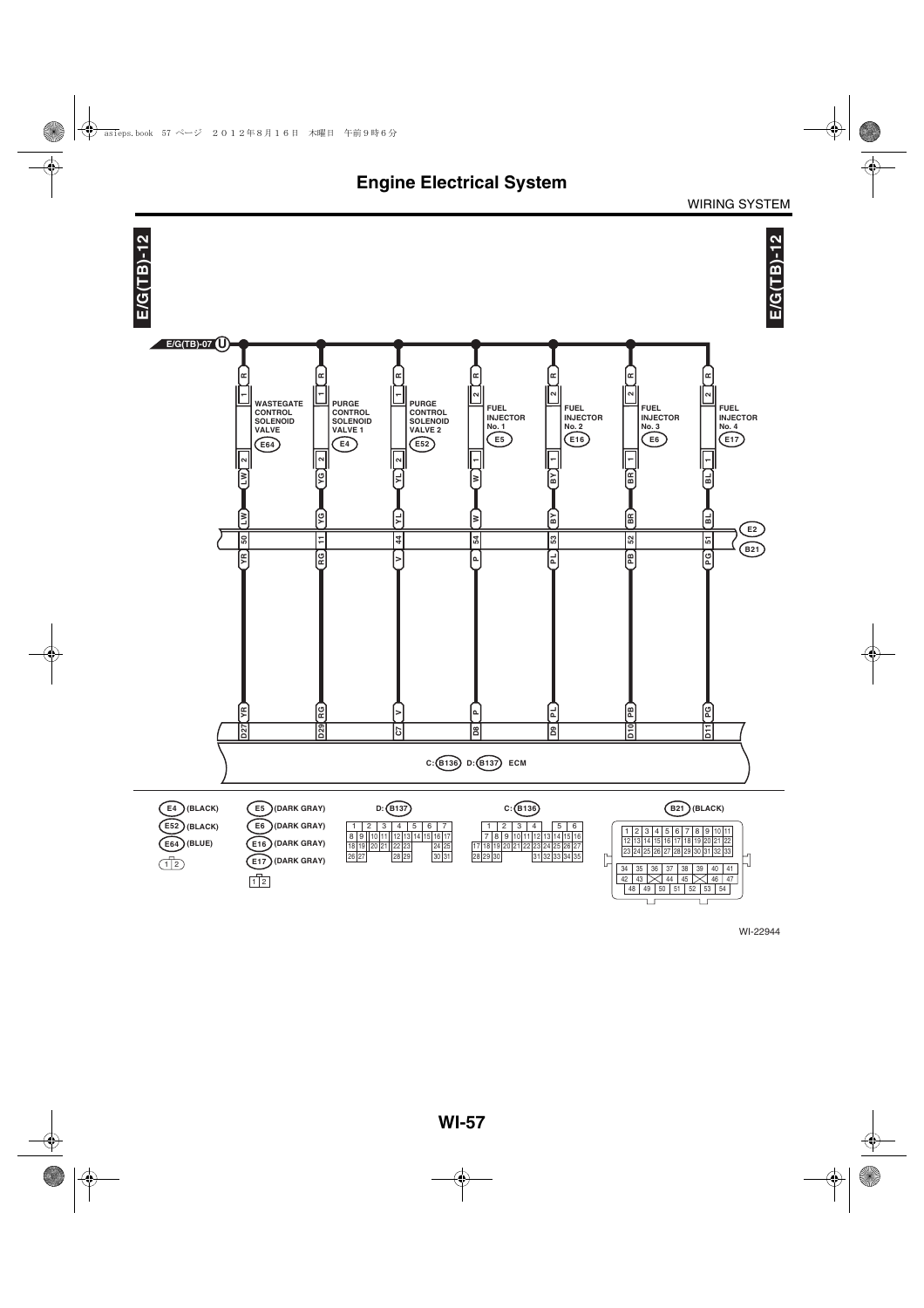

WI-22944

 $\Box$ 

īг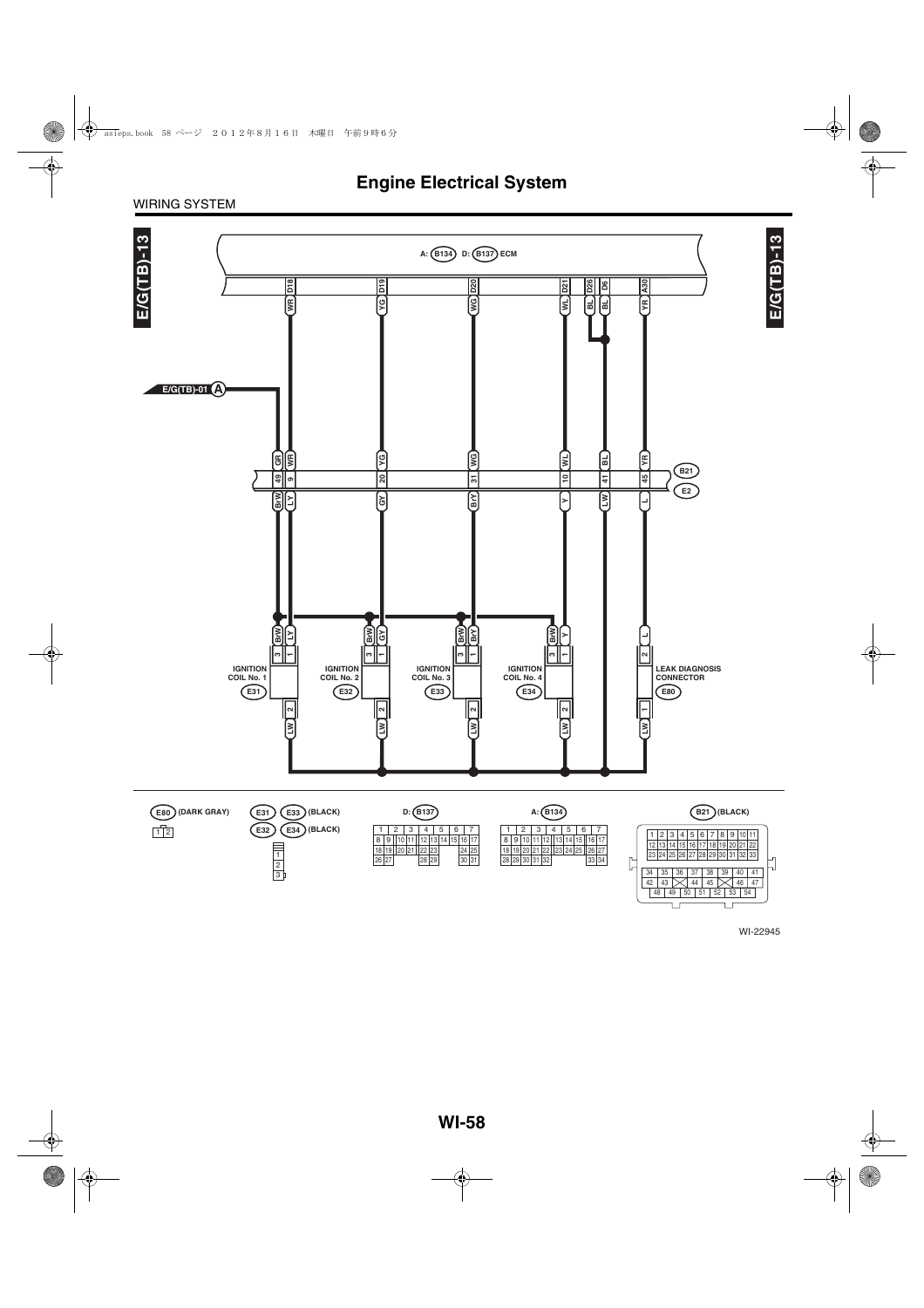